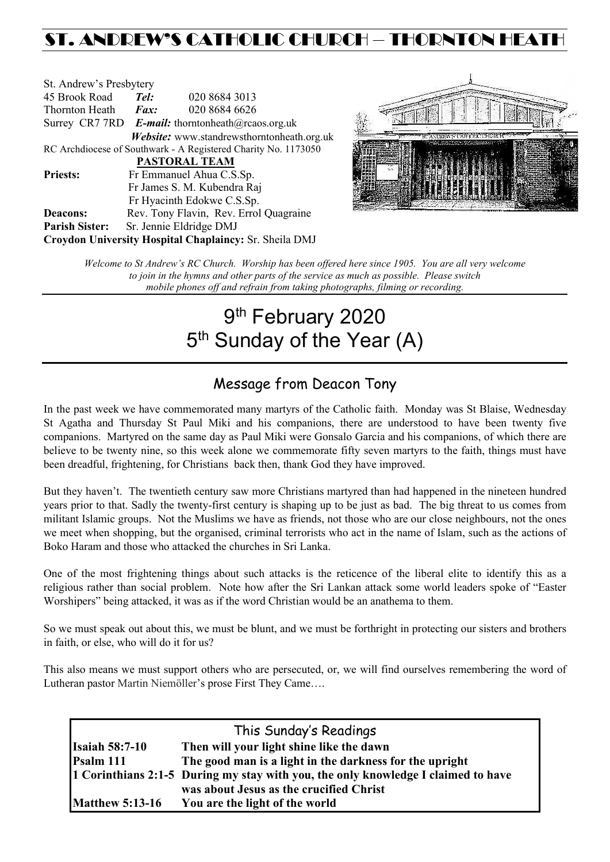## ST. ANDREW'S CATHOLIC CHURCH – THORNTON HEAT

| St. Andrew's Presbytery                                |                                                   |                                                                |  |  |
|--------------------------------------------------------|---------------------------------------------------|----------------------------------------------------------------|--|--|
| 45 Brook Road                                          | Tel:                                              | 020 8684 3013                                                  |  |  |
| Thornton Heath                                         | $\boldsymbol{Fax:}$                               | 020 8684 6626                                                  |  |  |
|                                                        | Surrey CR7 7RD E-mail: thorntonheath@rcaos.org.uk |                                                                |  |  |
|                                                        |                                                   | Website: www.standrewsthorntonheath.org.uk                     |  |  |
|                                                        |                                                   | RC Archdiocese of Southwark - A Registered Charity No. 1173050 |  |  |
|                                                        |                                                   | <b>PASTORAL TEAM</b>                                           |  |  |
| <b>Priests:</b>                                        |                                                   | Fr Emmanuel Ahua C.S.Sp.                                       |  |  |
| Fr James S. M. Kubendra Raj                            |                                                   |                                                                |  |  |
|                                                        |                                                   | Fr Hyacinth Edokwe C.S.Sp.                                     |  |  |
| <b>Deacons:</b>                                        |                                                   | Rev. Tony Flavin, Rev. Errol Quagraine                         |  |  |
| <b>Parish Sister:</b>                                  |                                                   | Sr. Jennie Eldridge DMJ                                        |  |  |
| Croydon University Hospital Chaplaincy: Sr. Sheila DMJ |                                                   |                                                                |  |  |



*Welcome to St Andrew's RC Church. Worship has been offered here since 1905. You are all very welcome to join in the hymns and other parts of the service as much as possible. Please switch mobile phones off and refrain from taking photographs, filming or recording.*

# 9<sup>th</sup> February 2020 5<sup>th</sup> Sunday of the Year (A)

## Message from Deacon Tony

In the past week we have commemorated many martyrs of the Catholic faith. Monday was St Blaise, Wednesday St Agatha and Thursday St Paul Miki and his companions, there are understood to have been twenty five companions. Martyred on the same day as Paul Miki were Gonsalo Garcia and his companions, of which there are believe to be twenty nine, so this week alone we commemorate fifty seven martyrs to the faith, things must have been dreadful, frightening, for Christians back then, thank God they have improved.

But they haven't. The twentieth century saw more Christians martyred than had happened in the nineteen hundred years prior to that. Sadly the twenty-first century is shaping up to be just as bad. The big threat to us comes from militant Islamic groups. Not the Muslims we have as friends, not those who are our close neighbours, not the ones we meet when shopping, but the organised, criminal terrorists who act in the name of Islam, such as the actions of Boko Haram and those who attacked the churches in Sri Lanka.

One of the most frightening things about such attacks is the reticence of the liberal elite to identify this as a religious rather than social problem. Note how after the Sri Lankan attack some world leaders spoke of "Easter Worshipers" being attacked, it was as if the word Christian would be an anathema to them.

So we must speak out about this, we must be blunt, and we must be forthright in protecting our sisters and brothers in faith, or else, who will do it for us?

This also means we must support others who are persecuted, or, we will find ourselves remembering the word of Lutheran pastor Martin Niemöller's prose First They Came….

| This Sunday's Readings |                                                                                   |  |  |
|------------------------|-----------------------------------------------------------------------------------|--|--|
| <b>Isaiah 58:7-10</b>  | Then will your light shine like the dawn                                          |  |  |
| Psalm 111              | The good man is a light in the darkness for the upright                           |  |  |
|                        | 1 Corinthians 2:1-5 During my stay with you, the only knowledge I claimed to have |  |  |
|                        | was about Jesus as the crucified Christ                                           |  |  |
| <b>Matthew 5:13-16</b> | You are the light of the world                                                    |  |  |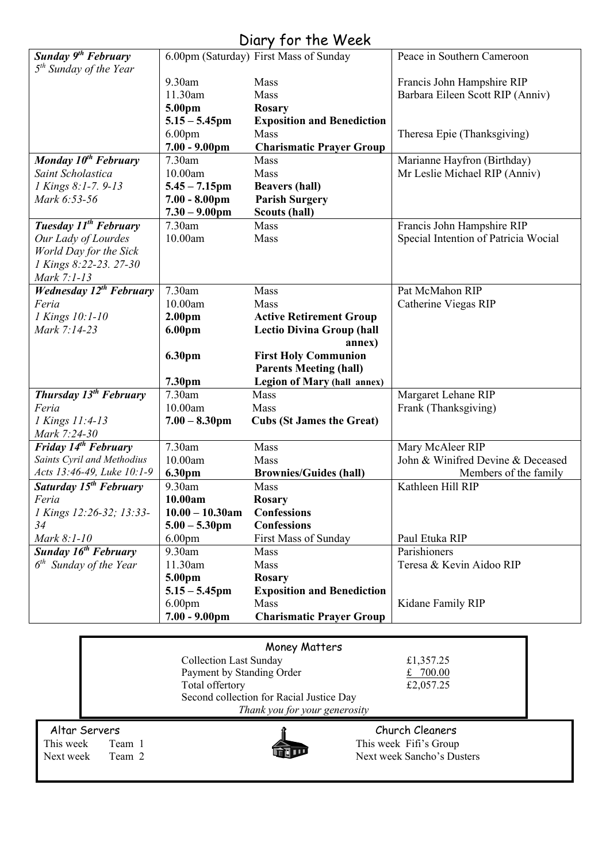|  |  |  | Diary for the Week |  |
|--|--|--|--------------------|--|
|--|--|--|--------------------|--|

|                                           |                               | $5.51$ $7.7$ $1.01$ $1.10$ $1.7$ $0.01$ |                                      |
|-------------------------------------------|-------------------------------|-----------------------------------------|--------------------------------------|
| Sunday 9 <sup>th</sup> February           |                               | 6.00pm (Saturday) First Mass of Sunday  | Peace in Southern Cameroon           |
| $5th$ Sunday of the Year                  |                               |                                         |                                      |
|                                           | 9.30am                        | Mass                                    | Francis John Hampshire RIP           |
|                                           | 11.30am                       | Mass                                    | Barbara Eileen Scott RIP (Anniv)     |
|                                           | 5.00pm                        | <b>Rosary</b>                           |                                      |
|                                           | $5.15 - 5.45$ pm              | <b>Exposition and Benediction</b>       |                                      |
|                                           | 6.00 <sub>pm</sub>            | Mass                                    | Theresa Epie (Thanksgiving)          |
|                                           | $7.00 - 9.00$ pm              | <b>Charismatic Prayer Group</b>         |                                      |
| Monday 10 <sup>th</sup> February          | 7.30am                        | Mass                                    | Marianne Hayfron (Birthday)          |
| Saint Scholastica                         | 10.00am                       | Mass                                    | Mr Leslie Michael RIP (Anniv)        |
| 1 Kings 8:1-7. 9-13                       | $5.45 - 7.15$ pm              | <b>Beavers (hall)</b>                   |                                      |
| Mark 6:53-56                              | $7.00 - 8.00 \text{pm}$       | <b>Parish Surgery</b>                   |                                      |
|                                           | $7.30 - 9.00$ pm              | Scouts (hall)                           |                                      |
| Tuesday 11 <sup>th</sup> February         | 7.30am                        | Mass                                    | Francis John Hampshire RIP           |
| Our Lady of Lourdes                       | 10.00am                       | Mass                                    | Special Intention of Patricia Wocial |
| World Day for the Sick                    |                               |                                         |                                      |
| 1 Kings 8:22-23. 27-30                    |                               |                                         |                                      |
| Mark 7:1-13                               |                               |                                         |                                      |
| <b>Wednesday 12<sup>th</sup> February</b> | 7.30am                        | Mass                                    | Pat McMahon RIP                      |
| Feria                                     | 10.00am                       | Mass                                    | Catherine Viegas RIP                 |
| 1 Kings 10:1-10                           | 2.00 <sub>pm</sub>            | <b>Active Retirement Group</b>          |                                      |
| Mark 7:14-23                              | 6.00 <sub>pm</sub>            | <b>Lectio Divina Group (hall</b>        |                                      |
|                                           |                               | annex)                                  |                                      |
|                                           | 6.30pm                        | <b>First Holy Communion</b>             |                                      |
|                                           |                               | <b>Parents Meeting (hall)</b>           |                                      |
|                                           | 7.30pm                        | <b>Legion of Mary (hall annex)</b>      |                                      |
| Thursday 13 <sup>th</sup> February        | 7.30am                        | Mass                                    | Margaret Lehane RIP                  |
| Feria                                     | 10.00am                       | Mass                                    | Frank (Thanksgiving)                 |
| 1 Kings 11:4-13                           | $7.00 - 8.30$ pm              | <b>Cubs (St James the Great)</b>        |                                      |
| Mark 7:24-30                              |                               |                                         |                                      |
| Friday 14 <sup>th</sup> February          | 7.30am                        | Mass                                    | Mary McAleer RIP                     |
| Saints Cyril and Methodius                | 10.00am                       | Mass                                    | John & Winifred Devine & Deceased    |
| Acts 13:46-49, Luke 10:1-9                | 6.30pm                        | <b>Brownies/Guides (hall)</b>           | Members of the family                |
| Saturday 15 <sup>th</sup> February        | 9.30am                        | Mass                                    | Kathleen Hill RIP                    |
| Feria                                     | 10.00am                       | <b>Rosary</b>                           |                                      |
| 1 Kings 12:26-32; 13:33-                  | $10.00 - 10.30$ am            | <b>Confessions</b>                      |                                      |
| 34                                        | $5.00 - 5.30$ pm              | <b>Confessions</b>                      |                                      |
| Mark 8:1-10                               | 6.00 <sub>pm</sub>            | First Mass of Sunday                    | Paul Etuka RIP                       |
| <b>Sunday 16th February</b>               | 9.30am                        | Mass                                    | Parishioners                         |
| $6th$ Sunday of the Year                  | 11.30am                       | Mass                                    | Teresa & Kevin Aidoo RIP             |
|                                           | 5.00pm                        | Rosary                                  |                                      |
|                                           | $5.15 - 5.45$ pm              | <b>Exposition and Benediction</b>       |                                      |
|                                           | 6.00 <sub>pm</sub>            | Mass                                    | Kidane Family RIP                    |
|                                           | $7.00 - 9.00$ pm              | <b>Charismatic Prayer Group</b>         |                                      |
|                                           |                               |                                         |                                      |
|                                           |                               |                                         |                                      |
|                                           |                               | Money Matters                           |                                      |
|                                           | <b>Collection Last Sunday</b> |                                         | £1,357.25                            |

|                     | Money Matters                            |                            |  |
|---------------------|------------------------------------------|----------------------------|--|
|                     | <b>Collection Last Sunday</b>            | £1,357.25                  |  |
|                     | Payment by Standing Order                | 700.00                     |  |
|                     | Total offertory                          | £2,057.25                  |  |
|                     | Second collection for Racial Justice Day |                            |  |
|                     | Thank you for your generosity            |                            |  |
| Altar Servers       |                                          | Church Cleaners            |  |
| This week<br>Team 1 |                                          | This week Fifi's Group     |  |
| Next week<br>Team 2 |                                          | Next week Sancho's Dusters |  |
|                     |                                          |                            |  |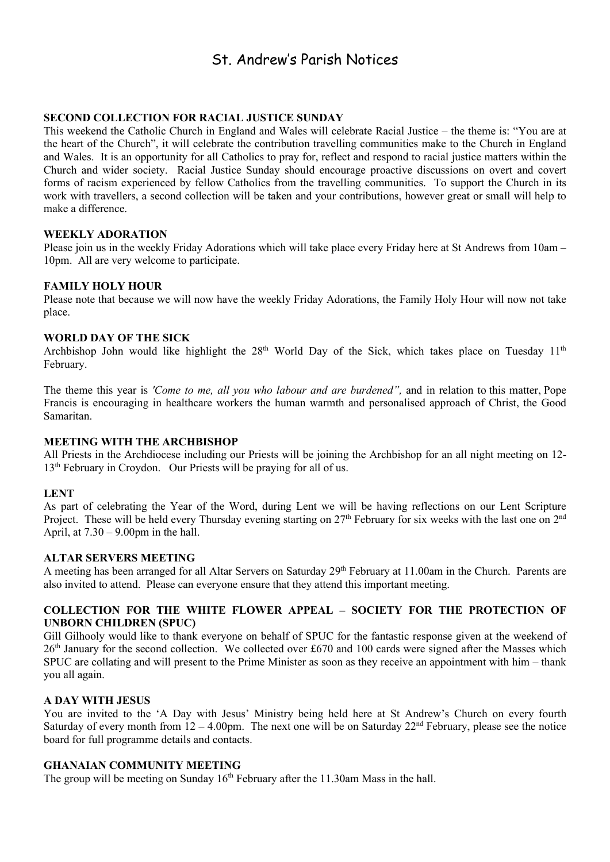### St. Andrew's Parish Notices

#### **SECOND COLLECTION FOR RACIAL JUSTICE SUNDAY**

This weekend the Catholic Church in England and Wales will celebrate Racial Justice – the theme is: "You are at the heart of the Church", it will celebrate the contribution travelling communities make to the Church in England and Wales. It is an opportunity for all Catholics to pray for, reflect and respond to racial justice matters within the Church and wider society. Racial Justice Sunday should encourage proactive discussions on overt and covert forms of racism experienced by fellow Catholics from the travelling communities. To support the Church in its work with travellers, a second collection will be taken and your contributions, however great or small will help to make a difference.

#### **WEEKLY ADORATION**

Please join us in the weekly Friday Adorations which will take place every Friday here at St Andrews from 10am – 10pm. All are very welcome to participate.

#### **FAMILY HOLY HOUR**

Please note that because we will now have the weekly Friday Adorations, the Family Holy Hour will now not take place.

#### **WORLD DAY OF THE SICK**

Archbishop John would like highlight the  $28<sup>th</sup>$  World Day of the Sick, which takes place on Tuesday  $11<sup>th</sup>$ February.

The theme this year is *'Come to me, all you who labour and are burdened",* and in relation to this matter, Pope Francis is encouraging in healthcare workers the human warmth and personalised approach of Christ, the Good Samaritan.

#### **MEETING WITH THE ARCHBISHOP**

All Priests in the Archdiocese including our Priests will be joining the Archbishop for an all night meeting on 12- 13<sup>th</sup> February in Croydon. Our Priests will be praying for all of us.

#### **LENT**

As part of celebrating the Year of the Word, during Lent we will be having reflections on our Lent Scripture Project. These will be held every Thursday evening starting on 27<sup>th</sup> February for six weeks with the last one on 2<sup>nd</sup> April, at  $7.30 - 9.00$ pm in the hall.

#### **ALTAR SERVERS MEETING**

A meeting has been arranged for all Altar Servers on Saturday 29<sup>th</sup> February at 11.00am in the Church. Parents are also invited to attend. Please can everyone ensure that they attend this important meeting.

#### **COLLECTION FOR THE WHITE FLOWER APPEAL – SOCIETY FOR THE PROTECTION OF UNBORN CHILDREN (SPUC)**

Gill Gilhooly would like to thank everyone on behalf of SPUC for the fantastic response given at the weekend of 26<sup>th</sup> January for the second collection. We collected over £670 and 100 cards were signed after the Masses which SPUC are collating and will present to the Prime Minister as soon as they receive an appointment with him – thank you all again.

#### **A DAY WITH JESUS**

You are invited to the 'A Day with Jesus' Ministry being held here at St Andrew's Church on every fourth Saturday of every month from  $12 - 4.00$ pm. The next one will be on Saturday  $22<sup>nd</sup>$  February, please see the notice board for full programme details and contacts.

#### **GHANAIAN COMMUNITY MEETING**

The group will be meeting on Sunday  $16<sup>th</sup>$  February after the 11.30am Mass in the hall.